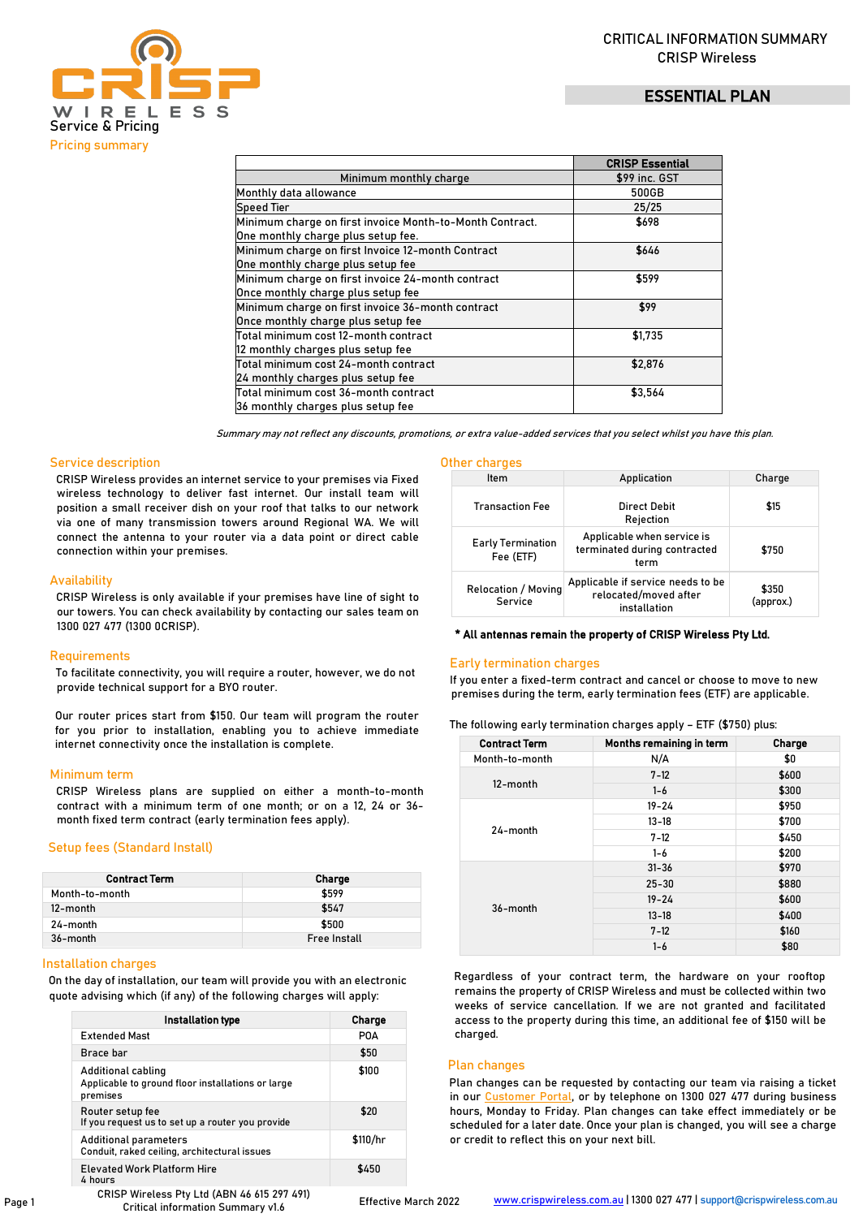# ESSENTIAL PLAN



|                                                          | <b>CRISP Essential</b> |
|----------------------------------------------------------|------------------------|
| Minimum monthly charge                                   | \$99 inc. GST          |
| Monthly data allowance                                   | 500GB                  |
| <b>Speed Tier</b>                                        | 25/25                  |
| Minimum charge on first invoice Month-to-Month Contract. | \$698                  |
| One monthly charge plus setup fee.                       |                        |
| Minimum charge on first Invoice 12-month Contract        | \$646                  |
| One monthly charge plus setup fee                        |                        |
| Minimum charge on first invoice 24-month contract        | \$599                  |
| Once monthly charge plus setup fee                       |                        |
| Minimum charge on first invoice 36-month contract        | \$99                   |
| Once monthly charge plus setup fee                       |                        |
| Total minimum cost 12-month contract                     | \$1,735                |
| 12 monthly charges plus setup fee                        |                        |
| Total minimum cost 24-month contract                     | \$2,876                |
| 24 monthly charges plus setup fee                        |                        |
| Total minimum cost 36-month contract                     | \$3,564                |
| 36 monthly charges plus setup fee                        |                        |

Summary may not reflect any discounts, promotions, or extra value-added services that you select whilst you have this plan.

## Service description

CRISP Wireless provides an internet service to your premises via Fixed wireless technology to deliver fast internet. Our install team will position a small receiver dish on your roof that talks to our network via one of many transmission towers around Regional WA. We will connect the antenna to your router via a data point or direct cable connection within your premises.

## **Availability**

CRISP Wireless is only available if your premises have line of sight to our towers. You can check availability by contacting our sales team on 1300 027 477 (1300 0CRISP).

### **Requirements**

To facilitate connectivity, you will require a router, however, we do not provide technical support for a BYO router.

Our router prices start from \$150. Our team will program the router for you prior to installation, enabling you to achieve immediate internet connectivity once the installation is complete.

### Minimum term

CRISP Wireless plans are supplied on either a month-to-month contract with a minimum term of one month; or on a 12, 24 or 36 month fixed term contract (early termination fees apply).

### Setup fees (Standard Install)

| <b>Contract Term</b> | <b>Charge</b>       |
|----------------------|---------------------|
| Month-to-month       | \$599               |
| 12-month             | \$547               |
| 24-month             | \$500               |
| 36-month             | <b>Free Install</b> |

## Installation charges

On the day of installation, our team will provide you with an electronic quote advising which (if any) of the following charges will apply:

| Installation type                                                                   | Charge   |
|-------------------------------------------------------------------------------------|----------|
| <b>Extended Mast</b>                                                                | POA      |
| Brace bar                                                                           | \$50     |
| Additional cabling<br>Applicable to ground floor installations or large<br>premises | \$100    |
| Router setup fee<br>If you request us to set up a router you provide                | \$20     |
| Additional parameters<br>Conduit, raked ceiling, architectural issues               | \$110/hr |
| <b>Elevated Work Platform Hire</b><br>$4 \text{ hours}$                             | \$450    |

### Other charges

| Item                                  | Application                                                                | Charge             |
|---------------------------------------|----------------------------------------------------------------------------|--------------------|
| <b>Transaction Fee</b>                | Direct Debit<br>Rejection                                                  | \$15               |
| <b>Early Termination</b><br>Fee (ETF) | Applicable when service is<br>terminated during contracted<br>term         | \$750              |
| <b>Relocation / Moving</b><br>Service | Applicable if service needs to be<br>relocated/moved after<br>installation | \$350<br>(approx.) |

## \* All antennas remain the property of CRISP Wireless Pty Ltd.

### Early termination charges

If you enter a fixed-term contract and cancel or choose to move to new premises during the term, early termination fees (ETF) are applicable.

| The following early termination charges apply – ETF (\$750) plus: |  |  |  |  |  |
|-------------------------------------------------------------------|--|--|--|--|--|
|-------------------------------------------------------------------|--|--|--|--|--|

| <b>Contract Term</b> | Months remaining in term | Charge |
|----------------------|--------------------------|--------|
| Month-to-month       | N/A                      | \$0    |
| 12-month             | $7 - 12$                 | \$600  |
|                      | $1 - 6$                  | \$300  |
| 24-month             | $19 - 24$                | \$950  |
|                      | $13 - 18$                | \$700  |
|                      | $7 - 12$                 | \$450  |
|                      | $1 - 6$                  | \$200  |
| 36-month             | $31 - 36$                | \$970  |
|                      | $25 - 30$                | \$880  |
|                      | $19 - 24$                | \$600  |
|                      | $13 - 18$                | \$400  |
|                      | $7 - 12$                 | \$160  |
|                      | $1 - 6$                  | \$80   |

Regardless of your contract term, the hardware on your rooftop remains the property of CRISP Wireless and must be collected within two weeks of service cancellation. If we are not granted and facilitated access to the property during this time, an additional fee of \$150 will be charged.

## Plan changes

Plan changes can be requested by contacting our team via raising a ticket in o[ur Customer Portal, or b](https://portal.crispwireless.com.au/portal/login)y telephone on 1300 027 477 during business hours, Monday to Friday. Plan changes can take effect immediately or be scheduled for a later date. Once your plan is changed, you will see a charge or credit to reflect this on your next bill.

CRISP Wireless Pty Ltd (ABN 46 615 297 491) Critical information Summary v1.6

Effective March 2022 www.crispwireless.com.au | 1300 027 477 | support@crispwireless.com.au